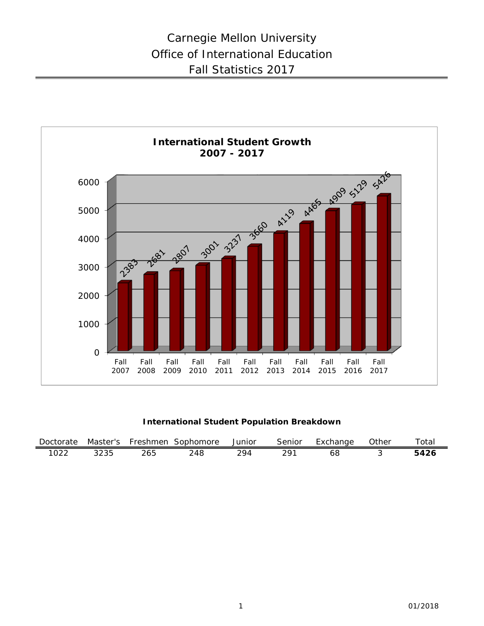

**International Student Population Breakdown**

| Doctorate |      | Master's Freshmen | Sophomore | Junior | Senior | Exchange | Other | Totai |
|-----------|------|-------------------|-----------|--------|--------|----------|-------|-------|
| 1022      | つつつら |                   | 248       |        |        | ხბ       |       | 5426  |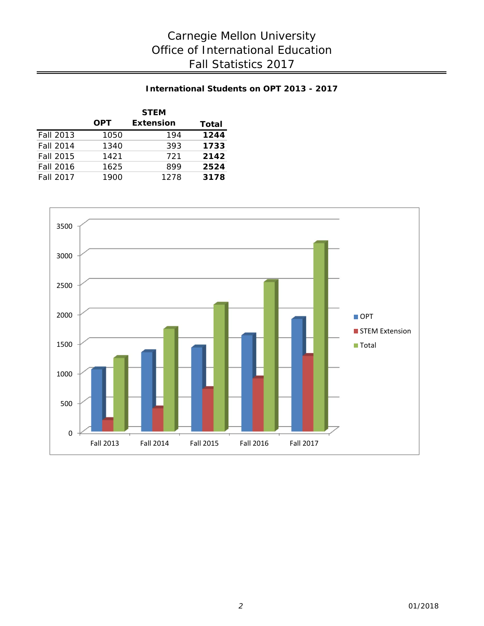## **International Students on OPT 2013 - 2017**

|                  |            | <b>STEM</b>      |       |
|------------------|------------|------------------|-------|
|                  | <b>OPT</b> | <b>Extension</b> | Total |
| <b>Fall 2013</b> | 1050       | 194              | 1244  |
| <b>Fall 2014</b> | 1340       | 393              | 1733  |
| <b>Fall 2015</b> | 1421       | 721              | 2142  |
| <b>Fall 2016</b> | 1625       | 899              | 2524  |
| <b>Fall 2017</b> | 1900       | 1278             | 3178  |

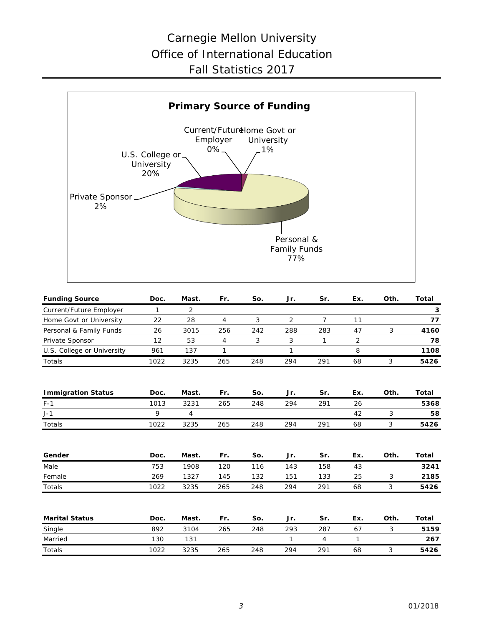## Carnegie Mellon University Office of International Education Fall Statistics 2017



| <b>Funding Source</b>      | Doc. | Mast. | Fr.            | So. | Jr.            | Sr.            | Ex.          | Oth. | <b>Total</b> |
|----------------------------|------|-------|----------------|-----|----------------|----------------|--------------|------|--------------|
| Current/Future Employer    | 1    | 2     |                |     |                |                |              |      | 3            |
| Home Govt or University    | 22   | 28    | $\overline{4}$ | 3   | $\overline{2}$ | $\overline{7}$ | 11           |      | 77           |
| Personal & Family Funds    | 26   | 3015  | 256            | 242 | 288            | 283            | 47           | 3    | 4160         |
| Private Sponsor            | 12   | 53    | 4              | 3   | 3              | 1              | 2            |      | 78           |
| U.S. College or University | 961  | 137   | 1              |     | 1              |                | 8            |      | 1108         |
| Totals                     | 1022 | 3235  | 265            | 248 | 294            | 291            | 68           | 3    | 5426         |
| <b>Immigration Status</b>  | Doc. | Mast. | Fr.            | So. | Jr.            | Sr.            | Ex.          | Oth. | Total        |
| $F-1$                      | 1013 | 3231  | 265            | 248 | 294            | 291            | 26           |      | 5368         |
| $J-1$                      | 9    | 4     |                |     |                |                | 42           | 3    | 58           |
| Totals                     | 1022 | 3235  | 265            | 248 | 294            | 291            | 68           | 3    | 5426         |
| Gender                     | Doc. | Mast. | Fr.            | So. | Jr.            | Sr.            | Ex.          | Oth. | Total        |
| Male                       | 753  | 1908  | 120            | 116 | 143            | 158            | 43           |      | 3241         |
| Female                     | 269  | 1327  | 145            | 132 | 151            | 133            | 25           | 3    | 2185         |
| Totals                     | 1022 | 3235  | 265            | 248 | 294            | 291            | 68           | 3    | 5426         |
| <b>Marital Status</b>      | Doc. | Mast. | Fr.            | So. | Jr.            | Sr.            | Ex.          | Oth. | Total        |
| Single                     | 892  | 3104  | 265            | 248 | 293            | 287            | 67           | 3    | 5159         |
| Married                    | 130  | 131   |                |     | 1              | $\overline{4}$ | $\mathbf{1}$ |      | 267          |
| <b>Totals</b>              | 1022 | 3235  | 265            | 248 | 294            | 291            | 68           | 3    | 5426         |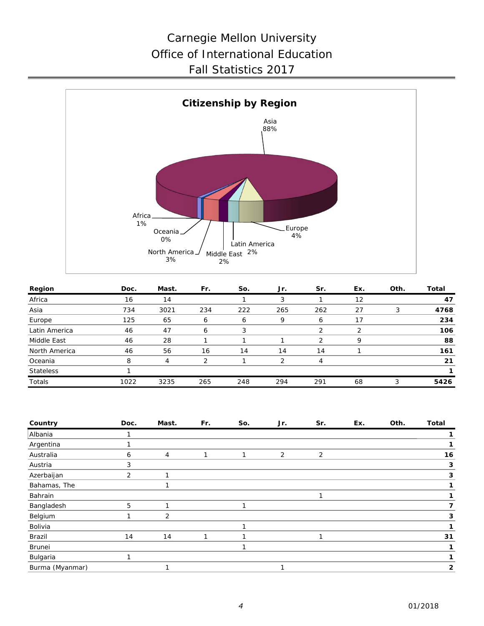# Carnegie Mellon University Office of International Education Fall Statistics 2017



| Region           | Doc. | Mast. | Fr. | So. | Jr.            | Sr.           | Ex. | Oth. | Total |
|------------------|------|-------|-----|-----|----------------|---------------|-----|------|-------|
| Africa           | 16   | 14    |     |     | 3              |               | 12  |      | 47    |
| Asia             | 734  | 3021  | 234 | 222 | 265            | 262           | 27  | 3    | 4768  |
| Europe           | 125  | 65    | 6   | 6   | 9              | 6             | 17  |      | 234   |
| Latin America    | 46   | 47    | h   |     |                |               | っ   |      | 106   |
| Middle East      | 46   | 28    |     |     |                | $\mathcal{P}$ | 9   |      | 88    |
| North America    | 46   | 56    | 16  | 14  | 14             | 14            |     |      | 161   |
| Oceania          | 8    | 4     | ⌒   |     | $\mathfrak{D}$ |               |     |      | 21    |
| <b>Stateless</b> |      |       |     |     |                |               |     |      |       |
| Totals           | 1022 | 3235  | 265 | 248 | 294            | 291           | 68  |      | 5426  |

| Country         | Doc. | Mast. | Fr. | So. | Jr. | Sr. | Ex. | Oth. | <b>Total</b> |
|-----------------|------|-------|-----|-----|-----|-----|-----|------|--------------|
| Albania         |      |       |     |     |     |     |     |      |              |
| Argentina       |      |       |     |     |     |     |     |      |              |
| Australia       | 6    | 4     |     |     | 2   | 2   |     |      | 16           |
| Austria         | 3    |       |     |     |     |     |     |      | 3            |
| Azerbaijan      | 2    |       |     |     |     |     |     |      | 3            |
| Bahamas, The    |      |       |     |     |     |     |     |      |              |
| Bahrain         |      |       |     |     |     |     |     |      |              |
| Bangladesh      | 5    |       |     |     |     |     |     |      |              |
| Belgium         |      | 2     |     |     |     |     |     |      | 3            |
| Bolivia         |      |       |     |     |     |     |     |      |              |
| Brazil          | 14   | 14    |     |     |     |     |     |      | 31           |
| Brunei          |      |       |     |     |     |     |     |      |              |
| Bulgaria        |      |       |     |     |     |     |     |      |              |
| Burma (Myanmar) |      |       |     |     |     |     |     |      | 2            |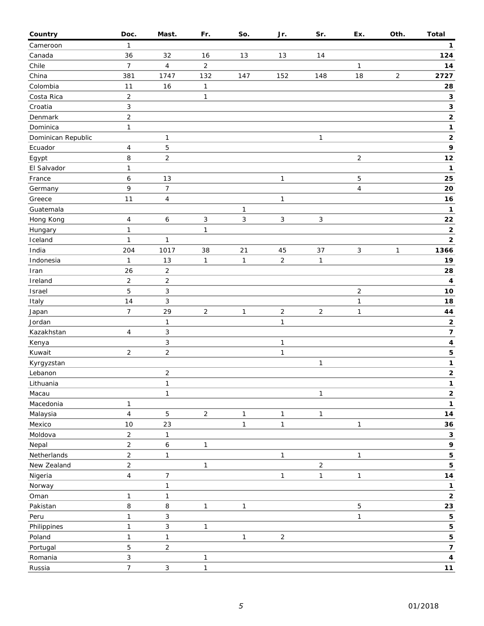| Country            | Doc.                | Mast.                   | Fr.            | So.          | Jr.            | Sr.            | Ex.            | Oth.       | <b>Total</b>            |
|--------------------|---------------------|-------------------------|----------------|--------------|----------------|----------------|----------------|------------|-------------------------|
| Cameroon           | $\mathbf{1}$        |                         |                |              |                |                |                |            | 1                       |
| Canada             | 36                  | 32                      | 16             | 13           | 13             | 14             |                |            | 124                     |
| Chile              | $\overline{7}$      | 4                       | $\overline{c}$ |              |                |                | 1              |            | 14                      |
| China              | 381                 | 1747                    | 132            | 147          | 152            | 148            | 18             | $\sqrt{2}$ | 2727                    |
| Colombia           | 11                  | 16                      | $\mathbf{1}$   |              |                |                |                |            | 28                      |
| Costa Rica         | $\overline{2}$      |                         | $\mathbf{1}$   |              |                |                |                |            | $\mathbf{3}$            |
| Croatia            | $\sqrt{3}$          |                         |                |              |                |                |                |            | $\mathbf 3$             |
| Denmark            | $\overline{2}$      |                         |                |              |                |                |                |            | $\mathbf 2$             |
| Dominica           | $\mathbf{1}$        |                         |                |              |                |                |                |            | 1                       |
| Dominican Republic |                     | $\mathbf{1}$            |                |              |                | $\mathbf{1}$   |                |            | $\mathbf 2$             |
| Ecuador            | 4                   | 5                       |                |              |                |                |                |            | 9                       |
| Egypt              | 8                   | $\overline{c}$          |                |              |                |                | $\overline{c}$ |            | 12                      |
| El Salvador        | $\mathbf{1}$        |                         |                |              |                |                |                |            | $\mathbf{1}$            |
| France             | 6                   | 13                      |                |              | $\mathbf{1}$   |                | 5              |            | 25                      |
| Germany            | 9                   | $\boldsymbol{7}$        |                |              |                |                | 4              |            | 20                      |
| Greece             | 11                  | $\overline{\mathbf{4}}$ |                |              | $\mathbf{1}$   |                |                |            | 16                      |
| Guatemala          |                     |                         |                | 1            |                |                |                |            | $\mathbf{1}$            |
| Hong Kong          | $\overline{4}$      | $\boldsymbol{6}$        | 3              | 3            | $\mathbf{3}$   | $\sqrt{3}$     |                |            | 22                      |
| Hungary            | $\mathbf{1}$        |                         | $\mathbf{1}$   |              |                |                |                |            | $\mathbf 2$             |
| Iceland            | $\mathbf{1}$        | $\mathbf{1}$            |                |              |                |                |                |            | $\mathbf 2$             |
| India              | 204                 | 1017                    | 38             | 21           | 45             | 37             | 3              | 1          | 1366                    |
| Indonesia          | 1                   | 13                      | $\mathbf{1}$   | $\mathbf{1}$ | $\overline{2}$ | $\mathbf{1}$   |                |            | 19                      |
|                    | 26                  | $\mathbf 2$             |                |              |                |                |                |            | 28                      |
| Iran               |                     |                         |                |              |                |                |                |            |                         |
| Ireland            | $\overline{2}$<br>5 | $\mathbf 2$<br>3        |                |              |                |                |                |            | $\boldsymbol{4}$<br>10  |
| Israel             | 14                  | 3                       |                |              |                |                | $\sqrt{2}$     |            | 18                      |
| Italy              | $\overline{7}$      |                         |                |              |                |                | 1              |            |                         |
| Japan              |                     | 29                      | $\overline{2}$ | $\mathbf{1}$ | $\overline{c}$ | $\overline{2}$ | 1              |            | 44                      |
| Jordan             |                     | $\mathbf{1}$            |                |              | $\mathbf{1}$   |                |                |            | 2                       |
| Kazakhstan         | 4                   | 3                       |                |              |                |                |                |            | $\overline{\mathbf{7}}$ |
| Kenya              |                     | 3                       |                |              | $\mathbf{1}$   |                |                |            | $\overline{\mathbf{4}}$ |
| Kuwait             | $\overline{2}$      | $\sqrt{2}$              |                |              | $\mathbf{1}$   |                |                |            | ${\bf 5}$               |
| Kyrgyzstan         |                     |                         |                |              |                | 1              |                |            | $\mathbf 1$             |
| Lebanon            |                     | $\sqrt{2}$              |                |              |                |                |                |            | $\mathbf 2$<br>1.       |
| Lithuania          |                     | $\mathbf{1}$            |                |              |                |                |                |            |                         |
| Macau              |                     | $\mathbf{1}$            |                |              |                | 1              |                |            | 2                       |
| Macedonia          | 1                   |                         |                |              |                |                |                |            | 1                       |
| Malaysia           | $\overline{4}$      | 5                       | $\overline{a}$ | $\mathbf{1}$ | $\mathbf{1}$   | 1              |                |            | 14                      |
| Mexico             | 10                  | 23                      |                | $\mathbf{1}$ | $\mathbf{1}$   |                | $\mathbf{1}$   |            | 36                      |
| Moldova            | $\overline{2}$      | $\mathbf{1}$            |                |              |                |                |                |            | $\mathbf 3$             |
| Nepal              | $\overline{2}$      | 6                       | $\mathbf{1}$   |              |                |                |                |            | 9                       |
| Netherlands        | $\overline{2}$      | $\mathbf{1}$            |                |              | $\mathbf{1}$   |                | $\mathbf{1}$   |            | 5                       |
| New Zealand        | $\overline{c}$      |                         | $\mathbf{1}$   |              |                | $\overline{c}$ |                |            | 5                       |
| Nigeria            | $\overline{4}$      | $\boldsymbol{7}$        |                |              | $\mathbf{1}$   | $\mathbf{1}$   | 1              |            | 14                      |
| Norway             |                     | $\mathbf{1}$            |                |              |                |                |                |            | $\mathbf{1}$            |
| Oman               | $\mathbf{1}$        | $\mathbf{1}$            |                |              |                |                |                |            | $\mathbf 2$             |
| Pakistan           | 8                   | 8                       | $\mathbf{1}$   | $\mathbf{1}$ |                |                | 5              |            | 23                      |
| Peru               | $\mathbf{1}$        | 3                       |                |              |                |                | $\mathbf{1}$   |            | 5                       |
| Philippines        | $\mathbf{1}$        | 3                       | $\mathbf{1}$   |              |                |                |                |            | 5                       |
| Poland             | $\mathbf{1}$        | $\mathbf{1}$            |                | 1            | $\overline{2}$ |                |                |            | 5                       |
| Portugal           | 5                   | $\mathbf 2$             |                |              |                |                |                |            | $\overline{\mathbf{z}}$ |
| Romania            | $\mathbf{3}$        |                         | $\mathbf{1}$   |              |                |                |                |            | $\pmb{4}$               |
| Russia             | $\overline{7}$      | $\mathsf 3$             | $\mathbf{1}$   |              |                |                |                |            | 11                      |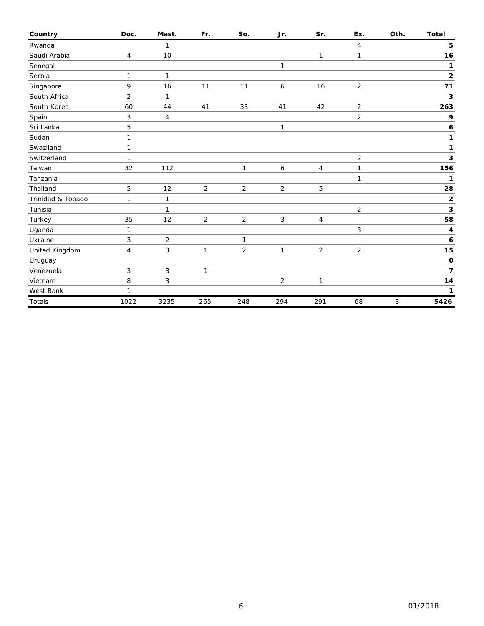| Country           | Doc.           | Mast.          | Fr.            | So.            | Jr.            | Sr.            | Ex.            | Oth. | <b>Total</b>             |
|-------------------|----------------|----------------|----------------|----------------|----------------|----------------|----------------|------|--------------------------|
| Rwanda            |                | $\mathbf{1}$   |                |                |                |                | 4              |      | 5                        |
| Saudi Arabia      | $\overline{4}$ | 10             |                |                |                | 1              | $\mathbf{1}$   |      | 16                       |
| Senegal           |                |                |                |                | $\mathbf{1}$   |                |                |      | 1                        |
| Serbia            | 1              | $\mathbf{1}$   |                |                |                |                |                |      | $\overline{\mathbf{2}}$  |
| Singapore         | 9              | 16             | 11             | 11             | 6              | 16             | $\overline{2}$ |      | 71                       |
| South Africa      | $\overline{2}$ | $\mathbf{1}$   |                |                |                |                |                |      | 3                        |
| South Korea       | 60             | 44             | 41             | 33             | 41             | 42             | $\overline{2}$ |      | 263                      |
| Spain             | 3              | $\overline{4}$ |                |                |                |                | $\overline{2}$ |      | 9                        |
| Sri Lanka         | 5              |                |                |                | 1              |                |                |      | 6                        |
| Sudan             | $\mathbf{1}$   |                |                |                |                |                |                |      | 1                        |
| Swaziland         | $\mathbf{1}$   |                |                |                |                |                |                |      | 1                        |
| Switzerland       | $\mathbf{1}$   |                |                |                |                |                | $\overline{2}$ |      | 3                        |
| Taiwan            | 32             | 112            |                | $\mathbf{1}$   | 6              | 4              | 1              |      | 156                      |
| Tanzania          |                |                |                |                |                |                | 1              |      | 1                        |
| Thailand          | 5              | 12             | 2              | $\overline{2}$ | $\overline{2}$ | 5              |                |      | 28                       |
| Trinidad & Tobago | $\mathbf{1}$   | $\mathbf{1}$   |                |                |                |                |                |      | $\mathbf 2$              |
| Tunisia           |                | $\mathbf{1}$   |                |                |                |                | $\overline{2}$ |      | 3                        |
| Turkey            | 35             | 12             | $\overline{2}$ | $\overline{a}$ | 3              | 4              |                |      | 58                       |
| Uganda            | $\mathbf{1}$   |                |                |                |                |                | 3              |      | 4                        |
| Ukraine           | 3              | $\overline{2}$ |                | 1              |                |                |                |      | 6                        |
| United Kingdom    | 4              | 3              | $\mathbf{1}$   | $\overline{2}$ | $\mathbf{1}$   | $\overline{2}$ | $\overline{2}$ |      | 15                       |
| Uruguay           |                |                |                |                |                |                |                |      | $\mathbf 0$              |
| Venezuela         | 3              | 3              | $\mathbf{1}$   |                |                |                |                |      | $\overline{\phantom{a}}$ |
| Vietnam           | 8              | 3              |                |                | 2              | $\mathbf{1}$   |                |      | $14$                     |
| West Bank         | $\mathbf{1}$   |                |                |                |                |                |                |      | 1                        |
| <b>Totals</b>     | 1022           | 3235           | 265            | 248            | 294            | 291            | 68             | 3    | 5426                     |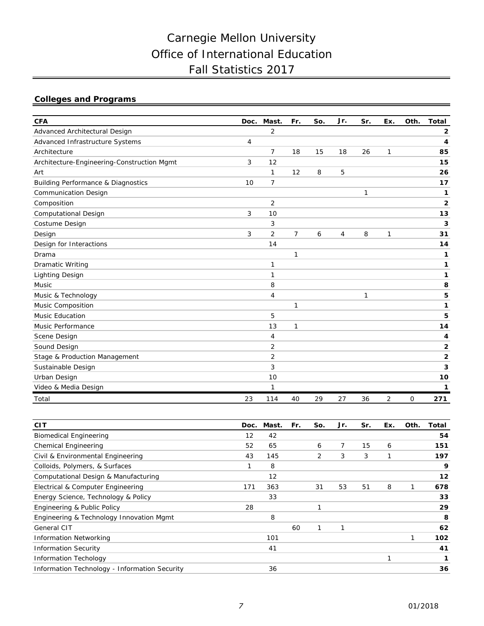# Carnegie Mellon University Office of International Education Fall Statistics 2017

## **Colleges and Programs**

| <b>CFA</b>                                    | Doc. | Mast.          | Fr. | So. | Jr. | Sr. | Ex. | Oth. | <b>Total</b>   |
|-----------------------------------------------|------|----------------|-----|-----|-----|-----|-----|------|----------------|
| Advanced Architectural Design                 |      | 2              |     |     |     |     |     |      | 2              |
| Advanced Infrastructure Systems               | 4    |                |     |     |     |     |     |      | 4              |
| Architecture                                  |      | $\overline{7}$ | 18  | 15  | 18  | 26  | 1   |      | 85             |
| Architecture-Engineering-Construction Mgmt    | 3    | 12             |     |     |     |     |     |      | 15             |
| Art                                           |      | 1              | 12  | 8   | 5   |     |     |      | 26             |
| <b>Building Performance &amp; Diagnostics</b> | 10   | $\overline{7}$ |     |     |     |     |     |      | 17             |
| <b>Communication Design</b>                   |      |                |     |     |     | 1   |     |      | 1              |
| Composition                                   |      | $\overline{2}$ |     |     |     |     |     |      | 2              |
| <b>Computational Design</b>                   | 3    | 10             |     |     |     |     |     |      | 13             |
| Costume Design                                |      | 3              |     |     |     |     |     |      | 3              |
| Design                                        | 3    | $\overline{2}$ | 7   | 6   | 4   | 8   | 1   |      | 31             |
| Design for Interactions                       |      | 14             |     |     |     |     |     |      | 14             |
| Drama                                         |      |                | 1   |     |     |     |     |      | 1              |
| <b>Dramatic Writing</b>                       |      | 1              |     |     |     |     |     |      | 1              |
| <b>Lighting Design</b>                        |      | 1              |     |     |     |     |     |      | 1              |
| Music                                         |      | 8              |     |     |     |     |     |      | 8              |
| Music & Technology                            |      | 4              |     |     |     | 1   |     |      | 5              |
| Music Composition                             |      |                | 1   |     |     |     |     |      | 1              |
| <b>Music Education</b>                        |      | 5              |     |     |     |     |     |      | 5              |
| Music Performance                             |      | 13             | 1   |     |     |     |     |      | 14             |
| Scene Design                                  |      | 4              |     |     |     |     |     |      | 4              |
| Sound Design                                  |      | 2              |     |     |     |     |     |      | 2              |
| Stage & Production Management                 |      | $\overline{2}$ |     |     |     |     |     |      | $\overline{2}$ |
| Sustainable Design                            |      | 3              |     |     |     |     |     |      | 3              |
| Urban Design                                  |      | 10             |     |     |     |     |     |      | 10             |
| Video & Media Design                          |      | 1              |     |     |     |     |     |      | 1              |
| Total                                         | 23   | 114            | 40  | 29  | 27  | 36  | 2   | 0    | 271            |

| <b>CIT</b>                                    | Doc. | Mast. | Fr. | So. | Jr. | Sr. | Ex. | Oth. | Total |
|-----------------------------------------------|------|-------|-----|-----|-----|-----|-----|------|-------|
| <b>Biomedical Engineering</b>                 | 12   | 42    |     |     |     |     |     |      | 54    |
| <b>Chemical Engineering</b>                   | 52   | 65    |     | 6   | 7   | 15  | 6   |      | 151   |
| Civil & Environmental Engineering             | 43   | 145   |     | 2   | 3   | 3   | 1   |      | 197   |
| Colloids, Polymers, & Surfaces                |      | 8     |     |     |     |     |     |      | 9     |
| Computational Design & Manufacturing          |      | 12    |     |     |     |     |     |      | 12    |
| Electrical & Computer Engineering             | 171  | 363   |     | 31  | 53  | 51  | 8   |      | 678   |
| Energy Science, Technology & Policy           |      | 33    |     |     |     |     |     |      | 33    |
| Engineering & Public Policy                   | 28   |       |     |     |     |     |     |      | 29    |
| Engineering & Technology Innovation Mgmt      |      | 8     |     |     |     |     |     |      | 8     |
| General CIT                                   |      |       | 60  |     |     |     |     |      | 62    |
| <b>Information Networking</b>                 |      | 101   |     |     |     |     |     |      | 102   |
| <b>Information Security</b>                   |      | 41    |     |     |     |     |     |      | 41    |
| <b>Information Techology</b>                  |      |       |     |     |     |     |     |      |       |
| Information Technology - Information Security |      | 36    |     |     |     |     |     |      | 36    |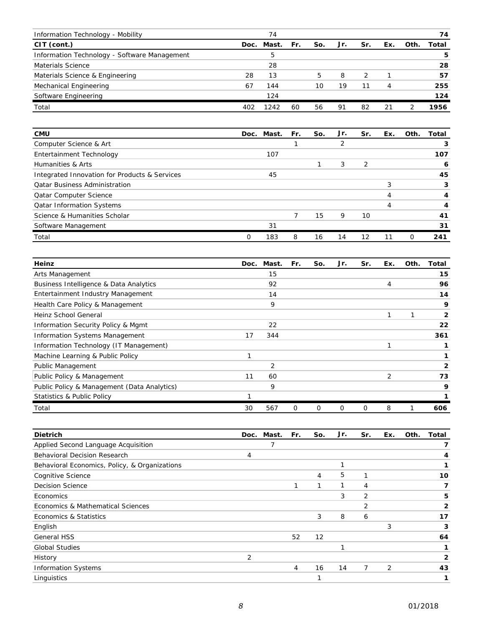| Information Technology - Mobility            |     | 74         |     |     |     |               |     |      | 74    |
|----------------------------------------------|-----|------------|-----|-----|-----|---------------|-----|------|-------|
| CIT (cont.)                                  |     | Doc. Mast. | Fr. | So. | Jr. | Sr.           | Ex. | Oth. | Total |
| Information Technology - Software Management |     | 5          |     |     |     |               |     |      | 5     |
| Materials Science                            |     | 28         |     |     |     |               |     |      | 28    |
| Materials Science & Engineering              | 28  | 13         |     | 5   | 8   | $\mathcal{L}$ |     |      | 57    |
| Mechanical Engineering                       | 67  | 144        |     | 10  | 19  | 11            | 4   |      | 255   |
| Software Engineering                         |     | 124        |     |     |     |               |     |      | 124   |
| Total                                        | 402 | 1242       | 60  | 56  | 91  | 82            | 21  |      | 1956  |

| <b>CMU</b>                                    |   | Doc. Mast. | Fr. | So. | Jr. | Sr. | Ex. | Oth.     | Total |
|-----------------------------------------------|---|------------|-----|-----|-----|-----|-----|----------|-------|
| Computer Science & Art                        |   |            |     |     |     |     |     |          | 3     |
| Entertainment Technology                      |   | 107        |     |     |     |     |     |          | 107   |
| Humanities & Arts                             |   |            |     |     | 3   | 2   |     |          | 6     |
| Integrated Innovation for Products & Services |   | 45         |     |     |     |     |     |          | 45    |
| <b>Qatar Business Administration</b>          |   |            |     |     |     |     | 3   |          | 3     |
| <b>Qatar Computer Science</b>                 |   |            |     |     |     |     | 4   |          |       |
| <b>Qatar Information Systems</b>              |   |            |     |     |     |     |     |          | 4     |
| Science & Humanities Scholar                  |   |            |     | 15  | 9   | 10  |     |          | 41    |
| Software Management                           |   | 31         |     |     |     |     |     |          | 31    |
| Total                                         | 0 | 183        | 8   | 16  | 14  | 12  |     | $\Omega$ | 241   |

| Heinz                                       | Doc. | Mast. | Fr. | So. | Jr. | Sr. | Ex. | Oth. | Total        |
|---------------------------------------------|------|-------|-----|-----|-----|-----|-----|------|--------------|
| Arts Management                             |      | 15    |     |     |     |     |     |      | 15           |
| Business Intelligence & Data Analytics      |      | 92    |     |     |     |     | 4   |      | 96           |
| Entertainment Industry Management           |      | 14    |     |     |     |     |     |      | 14           |
| Health Care Policy & Management             |      | 9     |     |     |     |     |     |      | 9            |
| Heinz School General                        |      |       |     |     |     |     |     |      | $\mathbf{2}$ |
| Information Security Policy & Mgmt          |      | 22    |     |     |     |     |     |      | 22           |
| <b>Information Systems Management</b>       | 17   | 344   |     |     |     |     |     |      | 361          |
| Information Technology (IT Management)      |      |       |     |     |     |     |     |      |              |
| Machine Learning & Public Policy            |      |       |     |     |     |     |     |      |              |
| <b>Public Management</b>                    |      | 2     |     |     |     |     |     |      | 2            |
| Public Policy & Management                  | 11   | 60    |     |     |     |     | 2   |      | 73           |
| Public Policy & Management (Data Analytics) |      | 9     |     |     |     |     |     |      | 9            |
| <b>Statistics &amp; Public Policy</b>       |      |       |     |     |     |     |     |      |              |
| Total                                       | 30   | 567   | 0   | 0   | 0   | Ο   | 8   |      | 606          |

| <b>Dietrich</b>                               | Doc. | Mast. | Fr. | So. | Jr. | Sr. | Ex. | Oth. | Total        |
|-----------------------------------------------|------|-------|-----|-----|-----|-----|-----|------|--------------|
| Applied Second Language Acquisition           |      | 7     |     |     |     |     |     |      | 7            |
| <b>Behavioral Decision Research</b>           | 4    |       |     |     |     |     |     |      | 4            |
| Behavioral Economics, Policy, & Organizations |      |       |     |     |     |     |     |      | 1            |
| <b>Cognitive Science</b>                      |      |       |     | 4   | 5   |     |     |      | 10           |
| <b>Decision Science</b>                       |      |       |     | 1   |     | 4   |     |      | 7            |
| Economics                                     |      |       |     |     | 3   | 2   |     |      | 5            |
| Economics & Mathematical Sciences             |      |       |     |     |     | 2   |     |      | $\mathbf{2}$ |
| Economics & Statistics                        |      |       |     | 3   | 8   | 6   |     |      | 17           |
| English                                       |      |       |     |     |     |     | 3   |      | 3            |
| <b>General HSS</b>                            |      |       | 52  | 12  |     |     |     |      | 64           |
| <b>Global Studies</b>                         |      |       |     |     | 1   |     |     |      | 1            |
| History                                       | 2    |       |     |     |     |     |     |      | $\mathbf{2}$ |
| <b>Information Systems</b>                    |      |       | 4   | 16  | 14  | 7   | 2   |      | 43           |
| Linguistics                                   |      |       |     |     |     |     |     |      | 1            |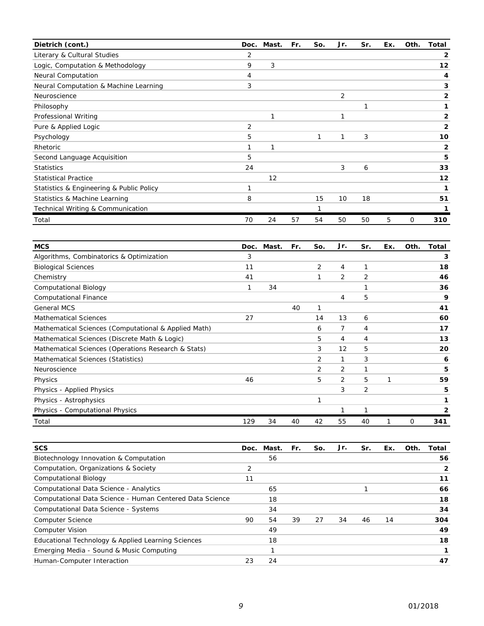| Dietrich (cont.)                         |    | Doc. Mast. | Fr. | So. | Jr. | Sr. | Ex. | Oth. | Total          |
|------------------------------------------|----|------------|-----|-----|-----|-----|-----|------|----------------|
| Literary & Cultural Studies              | 2  |            |     |     |     |     |     |      | 2              |
| Logic, Computation & Methodology         | 9  | 3          |     |     |     |     |     |      | 12             |
| <b>Neural Computation</b>                | 4  |            |     |     |     |     |     |      | 4              |
| Neural Computation & Machine Learning    | 3  |            |     |     |     |     |     |      | 3              |
| Neuroscience                             |    |            |     |     | 2   |     |     |      | $\overline{2}$ |
| Philosophy                               |    |            |     |     |     | 1   |     |      |                |
| Professional Writing                     |    |            |     |     |     |     |     |      | 2              |
| Pure & Applied Logic                     | 2  |            |     |     |     |     |     |      | $\mathbf{2}$   |
| Psychology                               | 5  |            |     | 1   | 1   | 3   |     |      | 10             |
| Rhetoric                                 |    |            |     |     |     |     |     |      | 2              |
| Second Language Acquisition              | 5  |            |     |     |     |     |     |      | 5              |
| <b>Statistics</b>                        | 24 |            |     |     | 3   | 6   |     |      | 33             |
| <b>Statistical Practice</b>              |    | 12         |     |     |     |     |     |      | 12             |
| Statistics & Engineering & Public Policy | 1  |            |     |     |     |     |     |      | 1              |
| Statistics & Machine Learning            | 8  |            |     | 15  | 10  | 18  |     |      | 51             |
| Technical Writing & Communication        |    |            |     |     |     |     |     |      |                |
| Total                                    | 70 | 24         | 57  | 54  | 50  | 50  | 5   | 0    | 310            |

| <b>MCS</b>                                           | Doc. | Mast. | Fr. | So. | Jr. | Sr. | Ex. | Oth. | Total |
|------------------------------------------------------|------|-------|-----|-----|-----|-----|-----|------|-------|
| Algorithms, Combinatorics & Optimization             | 3    |       |     |     |     |     |     |      | 3     |
| <b>Biological Sciences</b>                           | 11   |       |     | 2   | 4   | 1   |     |      | 18    |
| Chemistry                                            | 41   |       |     | 1   | 2   | 2   |     |      | 46    |
| <b>Computational Biology</b>                         | 1    | 34    |     |     |     |     |     |      | 36    |
| <b>Computational Finance</b>                         |      |       |     |     | 4   | 5   |     |      | 9     |
| <b>General MCS</b>                                   |      |       | 40  | 1   |     |     |     |      | 41    |
| <b>Mathematical Sciences</b>                         | 27   |       |     | 14  | 13  | 6   |     |      | 60    |
| Mathematical Sciences (Computational & Applied Math) |      |       |     | 6   | 7   | 4   |     |      | 17    |
| Mathematical Sciences (Discrete Math & Logic)        |      |       |     | 5   | 4   | 4   |     |      | 13    |
| Mathematical Sciences (Operations Research & Stats)  |      |       |     | 3   | 12  | 5   |     |      | 20    |
| Mathematical Sciences (Statistics)                   |      |       |     | 2   | 1   | 3   |     |      | 6     |
| Neuroscience                                         |      |       |     | 2   | 2   | 1   |     |      | 5     |
| Physics                                              | 46   |       |     | 5   | 2   | 5   | 1   |      | 59    |
| Physics - Applied Physics                            |      |       |     |     | 3   | 2   |     |      | 5     |
| Physics - Astrophysics                               |      |       |     | 1   |     |     |     |      | 1     |
| Physics - Computational Physics                      |      |       |     |     | 1   | 1   |     |      | 2     |
| Total                                                | 129  | 34    | 40  | 42  | 55  | 40  |     | 0    | 341   |

| <b>SCS</b>                                               | Doc. | Mast. | Fr. | So. | Jr. | Sr. | Ex. | Oth. | Total |
|----------------------------------------------------------|------|-------|-----|-----|-----|-----|-----|------|-------|
| Biotechnology Innovation & Computation                   |      | 56    |     |     |     |     |     |      | 56    |
| Computation, Organizations & Society                     |      |       |     |     |     |     |     |      | 2     |
| <b>Computational Biology</b>                             |      |       |     |     |     |     |     |      | 11    |
| Computational Data Science - Analytics                   |      | 65    |     |     |     |     |     |      | 66    |
| Computational Data Science - Human Centered Data Science |      | 18    |     |     |     |     |     |      | 18    |
| Computational Data Science - Systems                     |      | 34    |     |     |     |     |     |      | 34    |
| <b>Computer Science</b>                                  | 90   | 54    | 39  | 27  | 34  | 46  | 14  |      | 304   |
| <b>Computer Vision</b>                                   |      | 49    |     |     |     |     |     |      | 49    |
| Educational Technology & Applied Learning Sciences       |      | 18    |     |     |     |     |     |      | 18    |
| Emerging Media - Sound & Music Computing                 |      |       |     |     |     |     |     |      |       |
| Human-Computer Interaction                               | 23   | 24    |     |     |     |     |     |      | 47    |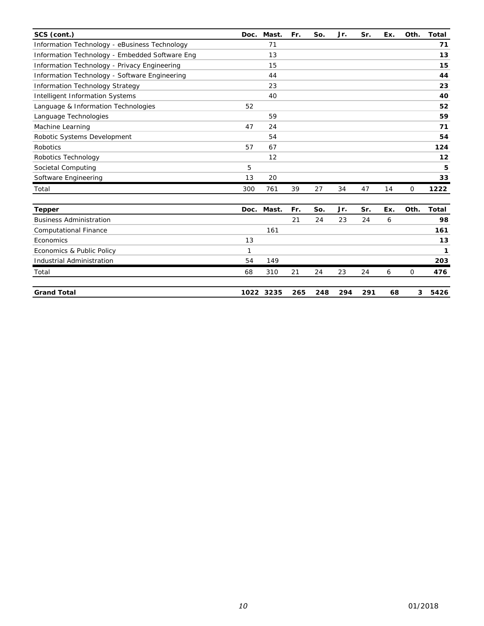| SCS (cont.)                                    | Doc. | Mast.     | Fr. | So. | Jr. | Sr. | Ex. | Oth. | <b>Total</b> |
|------------------------------------------------|------|-----------|-----|-----|-----|-----|-----|------|--------------|
| Information Technology - eBusiness Technology  |      | 71        |     |     |     |     |     |      | 71           |
| Information Technology - Embedded Software Eng |      | 13        |     |     |     |     |     |      | 13           |
| Information Technology - Privacy Engineering   |      | 15        |     |     |     |     |     |      | 15           |
| Information Technology - Software Engineering  |      | 44        |     |     |     |     |     |      | 44           |
| <b>Information Technology Strategy</b>         |      | 23        |     |     |     |     |     |      | 23           |
| <b>Intelligent Information Systems</b>         |      | 40        |     |     |     |     |     |      | 40           |
| Language & Information Technologies            | 52   |           |     |     |     |     |     |      | 52           |
| Language Technologies                          |      | 59        |     |     |     |     |     |      | 59           |
| Machine Learning                               | 47   | 24        |     |     |     |     |     |      | 71           |
| Robotic Systems Development                    |      | 54        |     |     |     |     |     |      | 54           |
| <b>Robotics</b>                                | 57   | 67        |     |     |     |     |     |      | 124          |
| Robotics Technology                            |      | 12        |     |     |     |     |     |      | 12           |
| Societal Computing                             | 5    |           |     |     |     |     |     |      | 5            |
| Software Engineering                           | 13   | 20        |     |     |     |     |     |      | 33           |
| Total                                          | 300  | 761       | 39  | 27  | 34  | 47  | 14  | 0    | 1222         |
| <b>Tepper</b>                                  | Doc. | Mast.     | Fr. | So. | Jr. | Sr. | Ex. | Oth. | <b>Total</b> |
| <b>Business Administration</b>                 |      |           | 21  | 24  | 23  | 24  | 6   |      | 98           |
| <b>Computational Finance</b>                   |      | 161       |     |     |     |     |     |      | 161          |
| Economics                                      | 13   |           |     |     |     |     |     |      | 13           |
| Economics & Public Policy                      | 1    |           |     |     |     |     |     |      | 1            |
| Industrial Administration                      | 54   | 149       |     |     |     |     |     |      | 203          |
| Total                                          | 68   | 310       | 21  | 24  | 23  | 24  | 6   | 0    | 476          |
| <b>Grand Total</b>                             |      | 1022 3235 | 265 | 248 | 294 | 291 | 68  | 3    | 5426         |